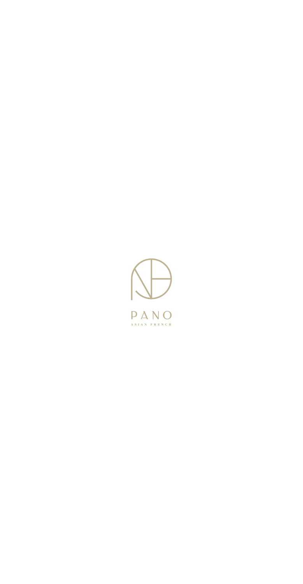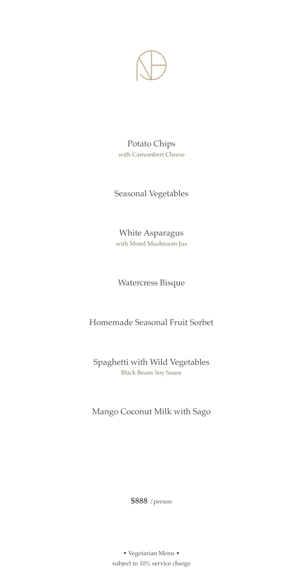

Potato Chips with Camembert Cheese

Seasonal Vegetables

White Asparagus with Morel Mushroom Jus

Watercress Bisque

Homemade Seasonal Fruit Sorbet

Spaghetti with Wild Vegetables Black Beans Soy Sauce

Mango Coconut Milk with Sago

**\$888** /person

subject to 10% service charge • Vegetarian Menu •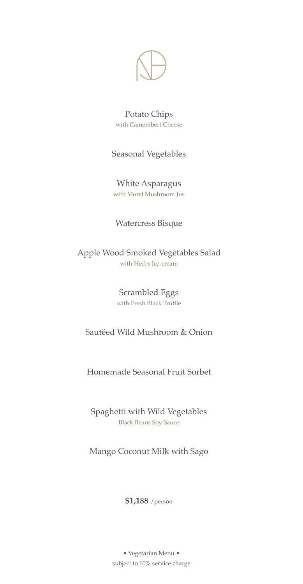

Potato Chips with Camembert Cheese

Seasonal Vegetables

White Asparagus with Morel Mushroom Jus

Watercress Bisque

Apple Wood Smoked Vegetables Salad with Herbs Ice-cream

> Scrambled Eggs with Fresh Black Truffle

Sautéed Wild Mushroom & Onion

Homemade Seasonal Fruit Sorbet

Spaghetti with Wild Vegetables Black Beans Soy Sauce

Mango Coconut Milk with Sago

**\$1,188** /person

• Vegetarian Menu • subject to 10% service charge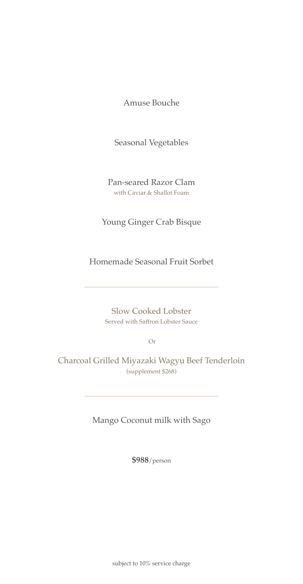Amuse Bouche

Seasonal Vegetables

Pan-seared Razor Clam with Caviar & Shallot Foam

Young Ginger Crab Bisque

Homemade Seasonal Fruit Sorbet

Slow Cooked Lobster Served with Saffron Lobster Sauce

Or

Charcoal Grilled Miyazaki Wagyu Beef Tenderloin (supplement \$268)

Mango Coconut milk with Sago

**\$988**/person

subject to 10% service charge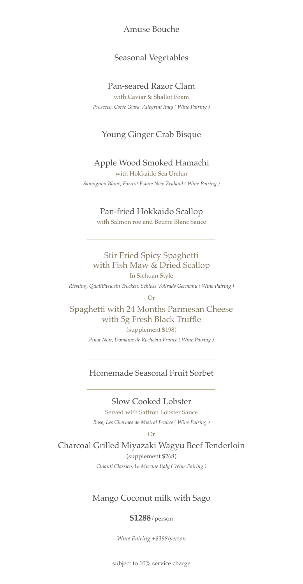### Amuse Bouche

## Seasonal Vegetables

### Pan-seared Razor Clam

with Caviar & Shallot Foam *Prosecco, Corte Giara, Allegrini Italy ( Wine Pairing )* 

# Young Ginger Crab Bisque

#### Apple Wood Smoked Hamachi

with Hokkaido Sea Urchin *Sauvignon Blanc, Forrest Estate New Zealand ( Wine Pairing )*

#### Pan-fried Hokkaido Scallop

with Salmon roe and Beurre Blanc Sauce

Stir Fried Spicy Spaghetti with Fish Maw & Dried Scallop

In Sichuan Style *Riesling, Qualitätswein Trocken, Schloss Vollrads Germany ( Wine Pairing )*

Or

Spaghetti with 24 Months Parmesan Cheese with 5g Fresh Black Truffle

(supplement \$198)

*Pinot Noir, Domaine de Rochebin France ( Wine Pairing )*

## Homemade Seasonal Fruit Sorbet

Slow Cooked Lobster

Served with Saffron Lobster Sauce

*Rose, Les Charmes de Mistral France ( Wine Pairing )*

Or

Charcoal Grilled Miyazaki Wagyu Beef Tenderloin (supplement \$268)

*Chianti Classico, Le Miccine Italy ( Wine Pairing )*

### Mango Coconut milk with Sago

#### **\$1288**/person

*Wine Pairing +\$398/person*

subject to 10% service charge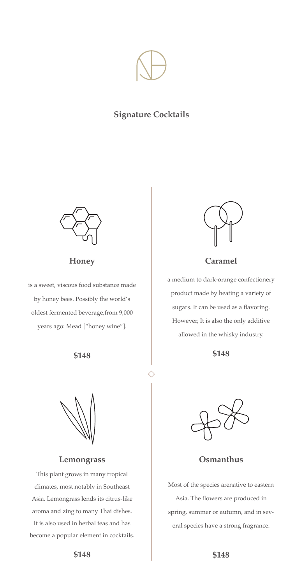

## **Signature Cocktails**



**Honey**

is a sweet, viscous food substance made by honey bees. Possibly the world's oldest fermented beverage,from 9,000 years ago: Mead ["honey wine"].

## **\$148**



a medium to dark-orange confectionery product made by heating a variety of sugars. It can be used as a flavoring. However, It is also the only additive allowed in the whisky industry.

**\$148**

**Lemongrass**

This plant grows in many tropical climates, most notably in Southeast Asia. Lemongrass lends its citrus-like aroma and zing to many Thai dishes. It is also used in herbal teas and has become a popular element in cocktails.



**Osmanthus**

Most of the species arenative to eastern Asia. The flowers are produced in spring, summer or autumn, and in several species have a strong fragrance.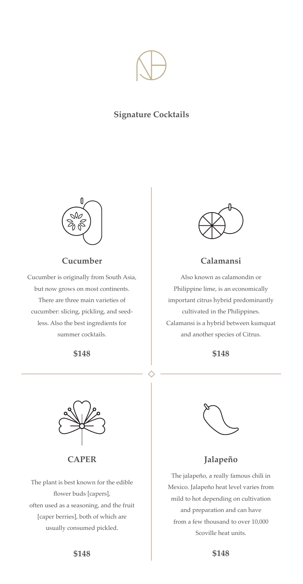

# **Signature Cocktails**



# **Cucumber**

Cucumber is originally from South Asia, but now grows on most continents. There are three main varieties of cucumber: slicing, pickling, and seedless. Also the best ingredients for summer cocktails.

## **\$148**



## **Calamansi**

Also known as calamondin or Philippine lime, is an economically important citrus hybrid predominantly cultivated in the Philippines. Calamansi is a hybrid between kumquat and another species of Citrus.

#### **\$148**



**CAPER**

The plant is best known for the edible flower buds [capers], often used as a seasoning, and the fruit [caper berries], both of which are usually consumed pickled.



## **Jalapeño**

The jalapeño, a really famous chili in Mexico. Jalapeño heat level varies from mild to hot depending on cultivation and preparation and can have from a few thousand to over 10,000 Scoville heat units.